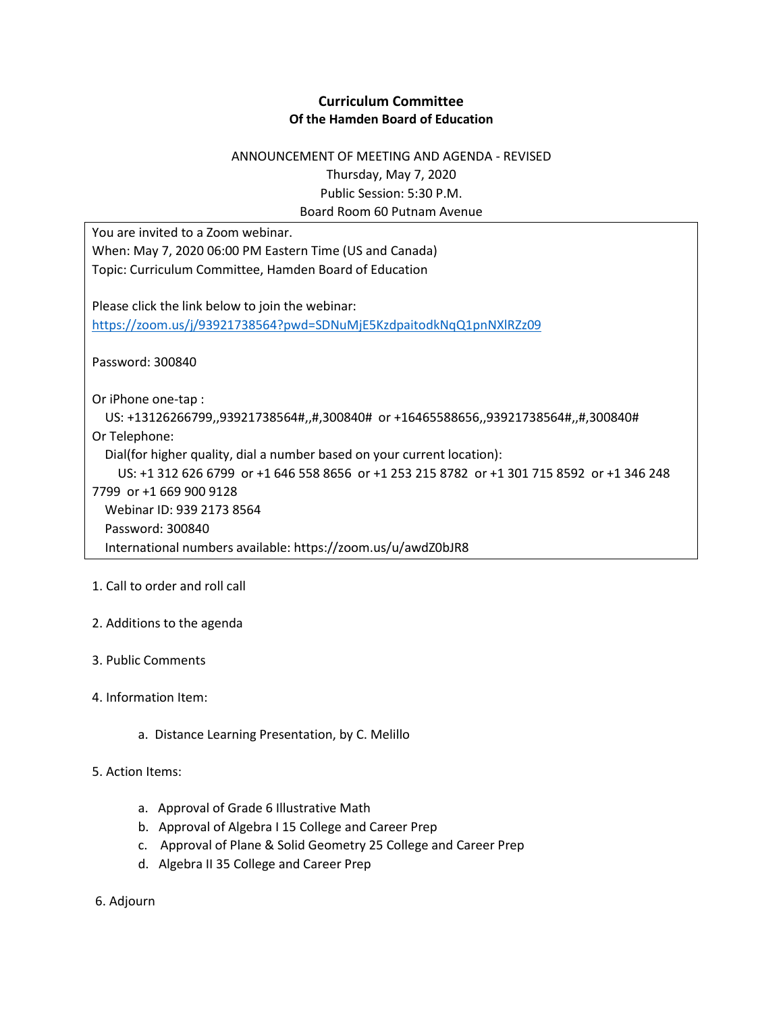### **Curriculum Committee Of the Hamden Board of Education**

# ANNOUNCEMENT OF MEETING AND AGENDA - REVISED Thursday, May 7, 2020 Public Session: 5:30 P.M. Board Room 60 Putnam Avenue

You are invited to a Zoom webinar.

When: May 7, 2020 06:00 PM Eastern Time (US and Canada) Topic: Curriculum Committee, Hamden Board of Education

Please click the link below to join the webinar: <https://zoom.us/j/93921738564?pwd=SDNuMjE5KzdpaitodkNqQ1pnNXlRZz09>

Password: 300840

Or iPhone one-tap :

 US: +13126266799,,93921738564#,,#,300840# or +16465588656,,93921738564#,,#,300840# Or Telephone:

Dial(for higher quality, dial a number based on your current location):

 US: +1 312 626 6799 or +1 646 558 8656 or +1 253 215 8782 or +1 301 715 8592 or +1 346 248 7799 or +1 669 900 9128 Webinar ID: 939 2173 8564 Password: 300840 International numbers available: https://zoom.us/u/awdZ0bJR8

## 1. Call to order and roll call

## 2. Additions to the agenda

- 3. Public Comments
- 4. Information Item:
	- a. Distance Learning Presentation, by C. Melillo

#### 5. Action Items:

- a. Approval of Grade 6 Illustrative Math
- b. Approval of Algebra I 15 College and Career Prep
- c. Approval of Plane & Solid Geometry 25 College and Career Prep
- d. Algebra II 35 College and Career Prep

6. Adjourn